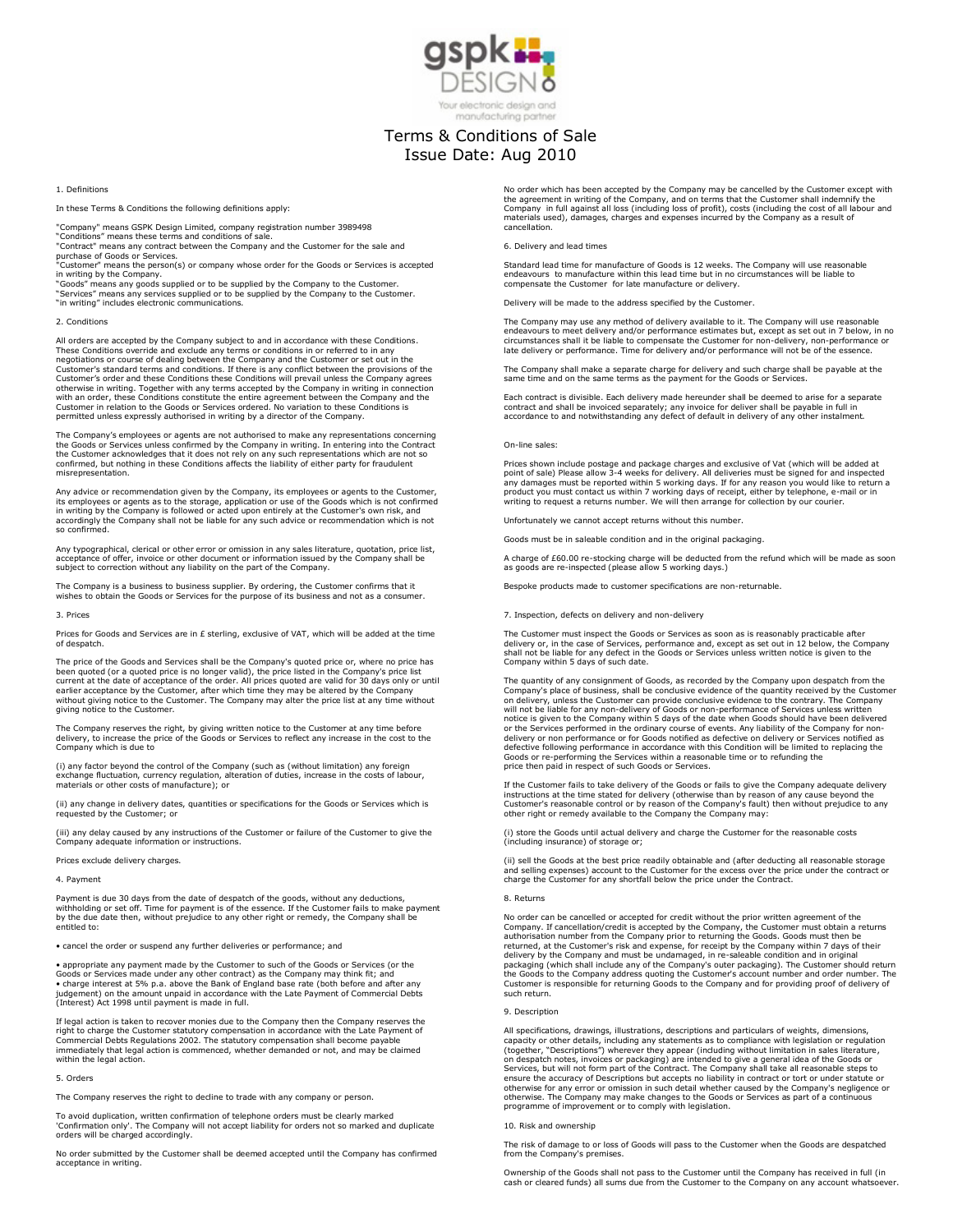

# manufacturing partner

# Terms & Conditions of Sale Issue Date: Aug 2010

1. Definitions

In these Terms & Conditions the following definitions apply:

"Company" means GSPK Design Limited, company registration number 3989498

"Conditions" means these terms and conditions of sale. "Contract" means any contract between the Company and the Customer for the sale and

purchase of Goods or Services.<br>"Customer" means the person(s) or company whose order for the Goods or Services is accepted<br>in writing by the Company.<br>"Goods" means any goods supplied or to be supplied by the Company to the

"Services" means any services supplied or to be supplied by the Company to the Customer. "in writing" includes electronic communications.

#### 2. Conditions

All orders are accepted by the Company subject to and in accordance with these Conditions. These Conditions override and exclude any terms or conditions in or referred to in any negotiations or course of dealing between the Company and the Customer or set out in the<br>Customer's standard terms and conditions. If there is any conflict between the provisions of the<br>Customer's order and these Condition otherwise in writing. Together with any terms accepted by the Company in writing in connection<br>with an order, these Conditions constitute the entire agreement between the Company and the<br>Customer in relation to the Goods o

The Company's employees or agents are not authorised to make any representations concerning the Goods or Services unless confirmed by the Company in writing. In entering into the Contract<br>the Customer acknowledges that it does not rely on any such representations which are not so<br>confirmed, but nothing in these C misrepresentation.

Any advice or recommendation given by the Company, its employees or agents to the Customer,<br>its employees or agents as to the storage, application or use of the Goods which is not confirmed<br>in writing by the Company is fol accordingly the Company shall not be liable for any such advice or recommendation which is not so confirmed.

Any typographical, clerical or other error or omission in any sales literature, quotation, price list,<br>acceptance of offer, invoice or other document or information issued by the Company shall be<br>subject to correction with

The Company is a business to business supplier. By ordering, the Customer confirms that it wishes to obtain the Goods or Services for the purpose of its business and not as a consumer.

#### 3. Prices

Prices for Goods and Services are in £ sterling, exclusive of VAT, which will be added at the time of despatch.

The price of the Goods and Services shall be the Company's quoted price or, where no price has been quoted (or a quoted price is no longer valid), the price listed in the Company's price list<br>current at the date of acceptance of the order. All prices quoted are valid for 30 days only or until<br>earlier acceptance by t without giving notice to the Customer. The Company may alter the price list at any time without giving notice to the Customer.

The Company reserves the right, by giving written notice to the Customer at any time before delivery, to increase the price of the Goods or Services to reflect any increase in the cost to the Company which is due to

(i) any factor beyond the control of the Company (such as (without limitation) any foreign exchange fluctuation, currency regulation, alteration of duties, increase in the costs of labour, materials or other costs of manufacture); or

(ii) any change in delivery dates, quantities or specifications for the Goods or Services which is requested by the Customer; or

(iii) any delay caused by any instructions of the Customer or failure of the Customer to give the Company adequate information or instructions.

Prices exclude delivery charges.

### 4. Payment

Payment is due 30 days from the date of despatch of the goods, without any deductions, withholding or set off. Time for payment is of the essence. If the Customer fails to make payment by the due date then, without prejudice to any other right or remedy, the Company shall be entitled to:

• cancel the order or suspend any further deliveries or performance; and

• appropriate any payment made by the Customer to such of the Goods or Services (or the Goods or Services made under any other contract) as the Company may think fit; and<br>• charge interest at 5% p.a. above the Bank of England base rate (both before and after any<br>judgement) on the amount unpaid in accordance w

If legal action is taken to recover monies due to the Company then the Company reserves the<br>right to charge the Customer statutory compensation in accordance with the Late Payment of<br>Commercial Debts Regulations 2002. The immediately that legal action is commenced, whether demanded or not, and may be claimed within the legal action.

## 5. Orders

The Company reserves the right to decline to trade with any company or person.

To avoid duplication, written confirmation of telephone orders must be clearly marked 'Confirmation only'. The Company will not accept liability for orders not so marked and duplicate orders will be charged accordingly.

No order submitted by the Customer shall be deemed accepted until the Company has confirmed acceptance in writing.

No order which has been accepted by the Company may be cancelled by the Customer except with the agreement in writing of the Company, and on terms that the Customer shall indemnify the<br>Company in full against all loss (including loss of profit), costs (including the cost of all labour and<br>materials used), damages cancellation.

## 6. Delivery and lead times

Standard lead time for manufacture of Goods is 12 weeks. The Company will use reasonable<br>endeavours to manufacture within this lead time but in no circumstances will be liable to<br>compensate the Customer for late manufactur

Delivery will be made to the address specified by the Customer.

The Company may use any method of delivery available to it. The Company will use reasonable endeavours to meet delivery and/or performance estimates but, except as set out in 7 below, in no circumstances shall it be liable to compensate the Customer for non-delivery, non-performance or late delivery or performance. Time for delivery and/or performance will not be of the essence.

The Company shall make a separate charge for delivery and such charge shall be payable at the same time and on the same terms as the payment for the Goods or Services.

Each contract is divisible. Each delivery made hereunder shall be deemed to arise for a separate<br>contract and shall be invoiced separately; any invoice for deliver shall be payable in full in<br>accordance to and notwithstand

#### On-line sales:

Prices shown include postage and package charges and exclusive of Vat (which will be added at<br>point of sale) Please allow 3-4 weeks for delivery. All deliveries must be signed for and inspected<br>any damages must be reported product you must contact us within 7 working days of receipt, either by telephone, e-mail or in writing to request a returns number. We will then arrange for collection by our courier.

Unfortunately we cannot accept returns without this number.

Goods must be in saleable condition and in the original packaging.

A charge of £60.00 re-stocking charge will be deducted from the refund which will be made as soon as goods are re-inspected (please allow 5 working days.)

Bespoke products made to customer specifications are non-returnable.

7. Inspection, defects on delivery and non-delivery

The Customer must inspect the Goods or Services as soon as is reasonably practicable after delivery or, in the case of Services, performance and, except as set out in 12 below, the Company<br>shall not be liable for any defect in the Goods or Services unless written notice is given to the<br>Company within 5 days of s

The quantity of any consignment of Goods, as recorded by the Company upon despatch from the Company's place of business, shall be conclusive evidence of the quantity received by the Customer on delivery, unless the Customer can provide conclusive evidence to the contrary. The Company<br>will not be liable for any non-delivery of Goods or non-performance of Services unless written<br>notice is given to the Company wi price then paid in respect of such Goods or Services.

If the Customer fails to take delivery of the Goods or fails to give the Company adequate delivery instructions at the time stated for delivery (otherwise than by reason of any cause beyond the<br>Customer's reasonable control or by reason of the Company's fault) then without prejudice to any<br>other right or remedy availabl

(i) store the Goods until actual delivery and charge the Customer for the reasonable costs (including insurance) of storage or;

(ii) sell the Goods at the best price readily obtainable and (after deducting all reasonable storage<br>and selling expenses) account to the Customer for the excess over the price under the contract or<br>charge the Customer for

#### 8. Returns

No order can be cancelled or accepted for credit without the prior written agreement of the Company. If cancellation/credit is accepted by the Company, the Customer must obtain a returns authorisation number from the Compa such return.

#### 9. Description

All specifications, drawings, illustrations, descriptions and particulars of weights, dimensions, capacity or other details, including any statements as to compliance with legislation or regulation (together, "Descriptions") wherever they appear (including without limitation in sales literature,<br>on despatch notes, invoices or packaging) are intended to give a general idea of the Goods or<br>Services, but will not form p ensure the accuracy of Descriptions but accepts no liability in contract or tort or under statute or<br>otherwise for any error or omission in such detail whether caused by the Company's negligence or<br>otherwise. The Company m programme of improvement or to comply with legislation.

#### 10. Risk and ownership

The risk of damage to or loss of Goods will pass to the Customer when the Goods are despatched from the Company's premises.

Ownership of the Goods shall not pass to the Customer until the Company has received in full (in cash or cleared funds) all sums due from the Customer to the Company on any account whatsoever.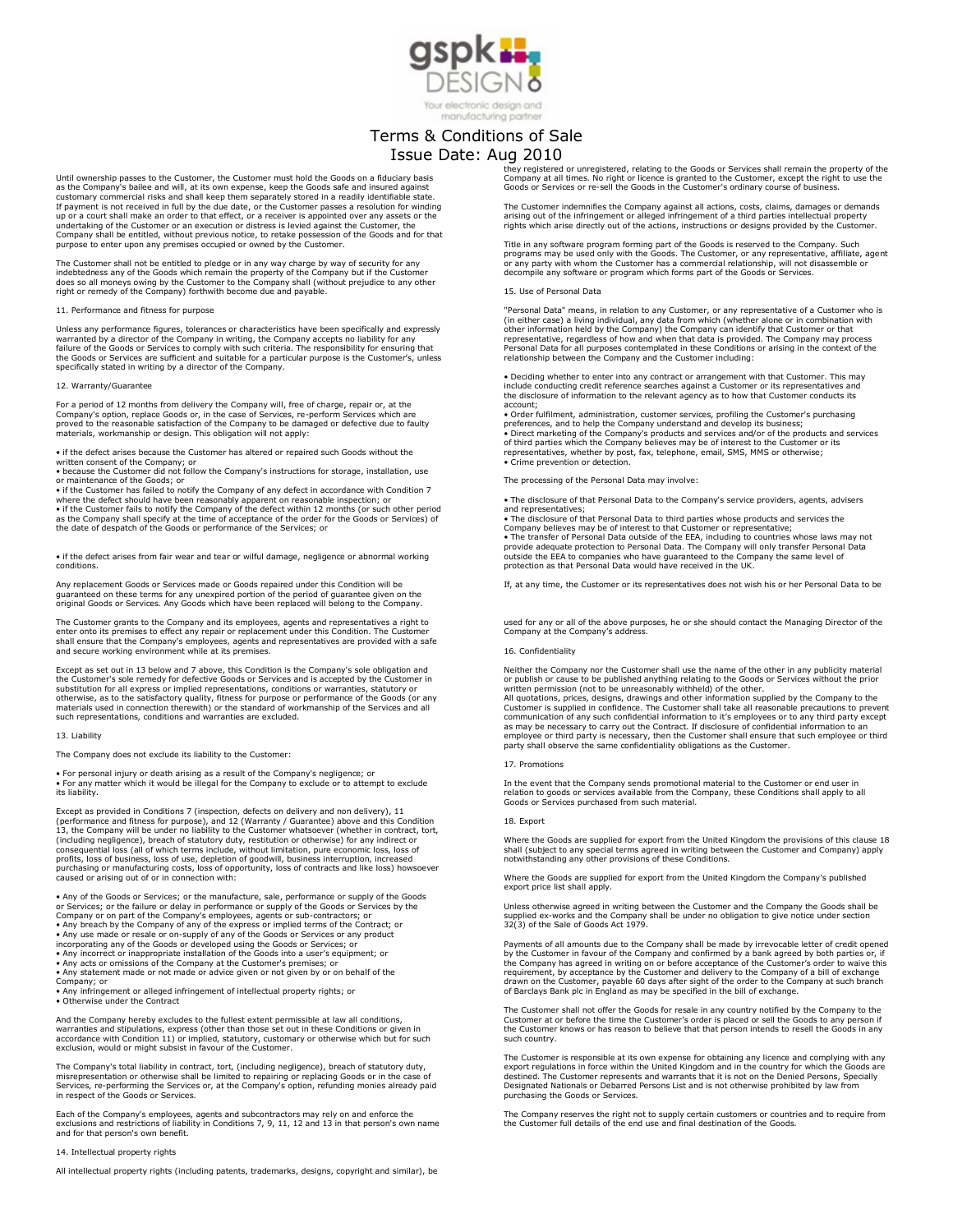

### manufacturing partner

# Terms & Conditions of Sale Issue Date: Aug 2010

Until ownership passes to the Customer, the Customer must hold the Goods on a fiduciary basis as the Company's bailee and will, at its own expense, keep the Goods safe and insured against customary commercial risks and shall keep them separately stored in a readily identifiable state. If payment is not received in full by the due date, or the Customer passes a resolution for winding<br>up or a court shall make an order to that effect, or a receiver is appointed over any assets or the<br>undertaking of the Cus

The Customer shall not be entitled to pledge or in any way charge by way of security for any<br>indebtedness any of the Goods which remain the property of the Company but if the Customer<br>does so all moneys owing by the Custom

# 11. Performance and fitness for purpose

Unless any performance figures, tolerances or characteristics have been specifically and expressly warranted by a director of the Company in writing, the Company accepts no liability for any<br>failure of the Goods or Services to comply with such criteria. The responsibility for ensuring that<br>the Goods or Services are suff specifically stated in writing by a director of the Company.

#### 12. Warranty/Guarantee

For a period of 12 months from delivery the Company will, free of charge, repair or, at the<br>Company's option, replace Goods or, in the case of Services, re-perform Services which are<br>proved to the reasonable satisfaction o materials, workmanship or design. This obligation will not apply:

• if the defect arises because the Customer has altered or repaired such Goods without the

written consent of the Company; or • because the Customer did not follow the Company's instructions for storage, installation, use or maintenance of the Goods; or

• if the Customer has failed to notify the Company of any defect in accordance with Condition 7 where the defect should have been reasonably apparent on reasonable inspection; or<br>• if the Customer fails to notify the Company of the defect within 12 months (or such other period<br>as the Company shall specify at the time the date of despatch of the Goods or performance of the Services; or

• if the defect arises from fair wear and tear or wilful damage, negligence or abnormal working conditions.

Any replacement Goods or Services made or Goods repaired under this Condition will be guaranteed on these terms for any unexpired portion of the period of guarantee given on the original Goods or Services. Any Goods which have been replaced will belong to the Company.

The Customer grants to the Company and its employees, agents and representatives a right to<br>enter onto its premises to effect any repair or replacement under this Condition. The Customer<br>shall ensure that the Company's emp

Except as set out in 13 below and 7 above, this Condition is the Company's sole obligation and the Customer's sole remedy for defective Goods or Services and is accepted by the Customer in<br>substitution for all express or implied representations, conditions or warranties, statutory or<br>otherwise, as to the satisfactor such representations, conditions and warranties are excluded.

## 13. Liability

The Company does not exclude its liability to the Customer:

• For personal injury or death arising as a result of the Company's negligence; or • For any matter which it would be illegal for the Company to exclude or to attempt to exclude its liability.

Except as provided in Conditions 7 (inspection, defects on delivery and non delivery), 11<br>(performance and fitness for purpose), and 12 (Warranty / Guarantee) above and this Condition<br>13, the Company will be under no liabi (including negligence), breach of statutory duty, restitution or otherwise) for any indirect or<br>consequential loss (all of which terms include, without limitation, pure economic loss, loss of<br>profits, loss of business, los purchasing or manufacturing costs, loss of opportunity, loss of contracts and like loss) howsoever caused or arising out of or in connection with:

• Any of the Goods or Services; or the manufacture, sale, performance or supply of the Goods<br>or Services; or the failure or delay in performance or supply of the Goods or Services by the<br>Company or on part of the Company's

• Any use made or resale or on-supply of any of the Goods or Services or any product<br>incorporating any of the Goods or developed using the Goods or Services; or<br>• Any incorrect or inappropriate installation of the Goods in

• Any acts or omissions of the Company at the Customer's premises; or • Any statement made or not made or advice given or not given by or on behalf of the Company; or

• Any infringement or alleged infringement of intellectual property rights; or • Otherwise under the Contract

And the Company hereby excludes to the fullest extent permissible at law all conditions, warranties and stipulations, express (other than those set out in these Conditions or given in<br>accordance with Condition 11) or implied, statutory, customary or otherwise which but for such<br>exclusion, would or might subsis

The Company's total liability in contract, tort, (including negligence), breach of statutory duty,<br>misrepresentation or otherwise shall be limited to repairing or replacing Goods or in the case of<br>Services, re-performing t in respect of the Goods or Services.

Each of the Company's employees, agents and subcontractors may rely on and enforce the exclusions and restrictions of liability in Conditions 7, 9, 11, 12 and 13 in that person's own name and for that person's own benefit.

#### 14. Intellectual property rights

All intellectual property rights (including patents, trademarks, designs, copyright and similar), be

they registered or unregistered, relating to the Goods or Services shall remain the property of the<br>Company at all times. No right or licence is granted to the Customer, except the right to use the<br>Goods or Services or re-

The Customer indemnifies the Company against all actions, costs, claims, damages or demands arising out of the infringement or alleged infringement of a third parties intellectual property rights which arise directly out of the actions, instructions or designs provided by the Customer.

Title in any software program forming part of the Goods is reserved to the Company. Such<br>programs may be used only with the Goods. The Customer, or any representative, affiliate, agent<br>or any party with whom the Customer h

#### 15. Use of Personal Data

"Personal Data" means, in relation to any Customer, or any representative of a Customer who is<br>(in either case) a living individual, any data from which (whether alone or in combination<br>other information held by the Compan

• Deciding whether to enter into any contract or arrangement with that Customer. This may<br>include conducting credit reference searches against a Customer or its representatives and<br>the disclosure of information to the rele

account;<br>• Order fulfilment, administration, customer services, profiling the Customer's purchasing<br>• Order fulfilment, administration, customers and develop its business;<br>• Direct marketing of the Company's products and s

The processing of the Personal Data may involve:

• The disclosure of that Personal Data to the Company's service providers, agents, advisers

and representatives; • The disclosure of that Personal Data to third parties whose products and services the Company believes may be of interest to that Customer or representative;<br>• The transfer of Personal Data outside of the EEA, including to countries whose laws may not<br>provide adequate protection to Personal Data. The Compan protection as that Personal Data would have received in the UK.

If, at any time, the Customer or its representatives does not wish his or her Personal Data to be

used for any or all of the above purposes, he or she should contact the Managing Director of the Company at the Company's address.

#### 16. Confidentiality

Neither the Company nor the Customer shall use the name of the other in any publicity material or publish or cause to be published anything relating to the Goods or Services without the prior<br>written permission (not to be unreasonably withheld) of the other.<br>All quotations, prices, designs, drawings and other inform

communication of any such confidential information to it's employees or to any third party except<br>as may be necessary to carry out the Contract. If disclosure of confidential information to an<br>employee or third party is ne

#### 17. Promotions

In the event that the Company sends promotional material to the Customer or end user in<br>relation to goods or services available from the Company, these Conditions shall apply to all<br>Goods or Services purchased from such ma

## 18. Export

Where the Goods are supplied for export from the United Kingdom the provisions of this clause 18 shall (subject to any special terms agreed in writing between the Customer and Company) apply notwithstanding any other provisions of these Conditions.

Where the Goods are supplied for export from the United Kingdom the Company's published export price list shall apply.

Unless otherwise agreed in writing between the Customer and the Company the Goods shall be supplied ex-works and the Company shall be under no obligation to give notice under section 32(3) of the Sale of Goods Act 1979.

Payments of all amounts due to the Company shall be made by irrevocable letter of credit opened by the Customer in favour of the Company and confirmed by a bank agreed by both parties or, if the Company has agreed in writing on or before acceptance of the Customer's order to waive this<br>requirement, by acceptance by the Customer and delivery to the Company of a bill of exchange<br>drawn on the Customer, payable 60

The Customer shall not offer the Goods for resale in any country notified by the Company to the Customer at or before the time the Customer's order is placed or sell the Goods to any person if the Customer knows or has reason to believe that that person intends to resell the Goods in any such country.

The Customer is responsible at its own expense for obtaining any licence and complying with any<br>export regulations in force within the United Kingdom and in the country for which the Goods are<br>destined. The Customer repres purchasing the Goods or Services.

The Company reserves the right not to supply certain customers or countries and to require from the Customer full details of the end use and final destination of the Goods.